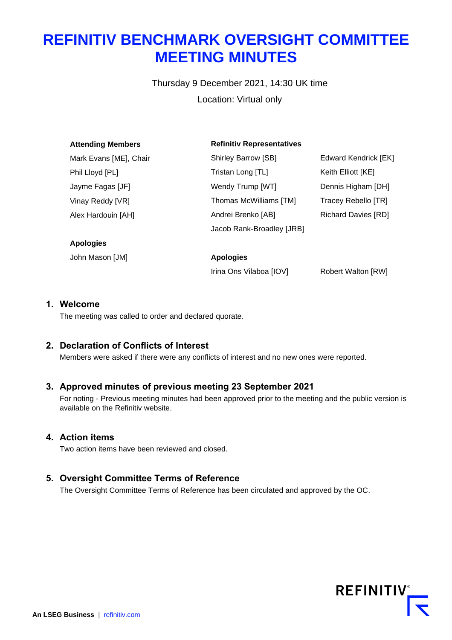# **REFINITIV BENCHMARK OVERSIGHT COMMITTEE MEETING MINUTES**

Thursday 9 December 2021, 14:30 UK time Location: Virtual only

| <b>Attending Members</b> | <b>Refinitiv Representatives</b> |                            |
|--------------------------|----------------------------------|----------------------------|
| Mark Evans [ME], Chair   | <b>Shirley Barrow [SB]</b>       | Edward Kendrick [EK]       |
| Phil Lloyd [PL]          | Tristan Long [TL]                | Keith Elliott [KE]         |
| Jayme Fagas [JF]         | Wendy Trump [WT]                 | Dennis Higham [DH]         |
| Vinay Reddy [VR]         | Thomas McWilliams [TM]           | Tracey Rebello [TR]        |
| Alex Hardouin [AH]       | Andrei Brenko [AB]               | <b>Richard Davies [RD]</b> |
|                          | Jacob Rank-Broadley [JRB]        |                            |
| <b>Apologies</b>         |                                  |                            |
| John Mason [JM]          | <b>Apologies</b>                 |                            |
|                          | Irina Ons Vilaboa [IOV]          | <b>Robert Walton [RW]</b>  |

## **1. Welcome**

The meeting was called to order and declared quorate.

# **2. Declaration of Conflicts of Interest**

Members were asked if there were any conflicts of interest and no new ones were reported.

# **3. Approved minutes of previous meeting 23 September 2021**

For noting - Previous meeting minutes had been approved prior to the meeting and the public version is available on the Refinitiv website.

## **4. Action items**

Two action items have been reviewed and closed.

# **5. Oversight Committee Terms of Reference**

The Oversight Committee Terms of Reference has been circulated and approved by the OC.

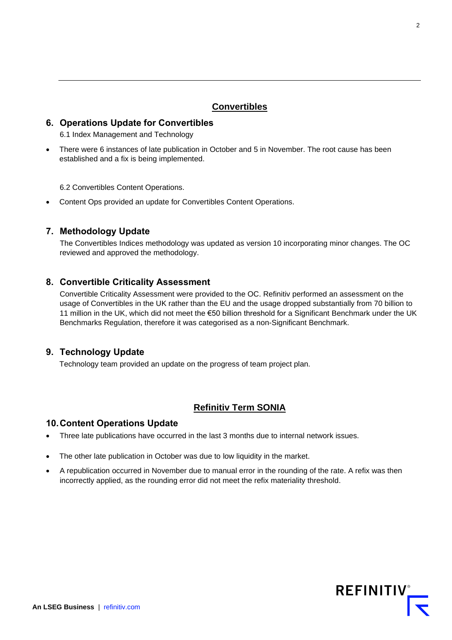## **Convertibles**

# **6. Operations Update for Convertibles**

6.1 Index Management and Technology

• There were 6 instances of late publication in October and 5 in November. The root cause has been established and a fix is being implemented.

6.2 Convertibles Content Operations.

• Content Ops provided an update for Convertibles Content Operations.

## **7. Methodology Update**

The Convertibles Indices methodology was updated as version 10 incorporating minor changes. The OC reviewed and approved the methodology.

## **8. Convertible Criticality Assessment**

Convertible Criticality Assessment were provided to the OC. Refinitiv performed an assessment on the usage of Convertibles in the UK rather than the EU and the usage dropped substantially from 70 billion to 11 million in the UK, which did not meet the €50 billion threshold for a Significant Benchmark under the UK Benchmarks Regulation, therefore it was categorised as a non-Significant Benchmark.

## **9. Technology Update**

Technology team provided an update on the progress of team project plan.

# **Refinitiv Term SONIA**

#### **10.Content Operations Update**

- Three late publications have occurred in the last 3 months due to internal network issues.
- The other late publication in October was due to low liquidity in the market.
- A republication occurred in November due to manual error in the rounding of the rate. A refix was then incorrectly applied, as the rounding error did not meet the refix materiality threshold.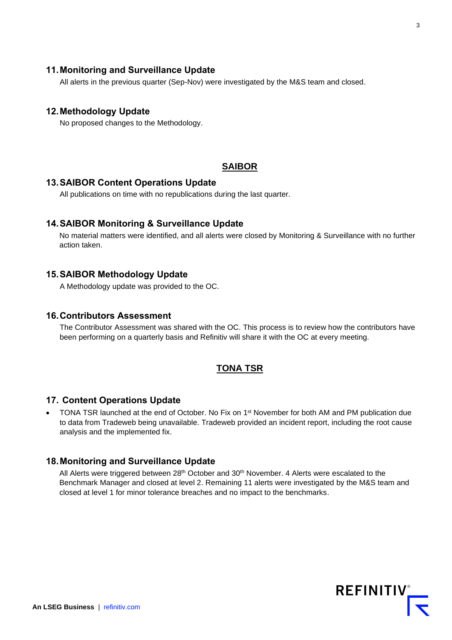## **11.Monitoring and Surveillance Update**

All alerts in the previous quarter (Sep-Nov) were investigated by the M&S team and closed.

#### **12.Methodology Update**

No proposed changes to the Methodology.

#### **SAIBOR**

#### **13.SAIBOR Content Operations Update**

All publications on time with no republications during the last quarter.

#### **14.SAIBOR Monitoring & Surveillance Update**

No material matters were identified, and all alerts were closed by Monitoring & Surveillance with no further action taken.

#### **15.SAIBOR Methodology Update**

A Methodology update was provided to the OC.

#### **16.Contributors Assessment**

The Contributor Assessment was shared with the OC. This process is to review how the contributors have been performing on a quarterly basis and Refinitiv will share it with the OC at every meeting.

#### **TONA TSR**

#### **17. Content Operations Update**

• TONA TSR launched at the end of October. No Fix on 1<sup>st</sup> November for both AM and PM publication due to data from Tradeweb being unavailable. Tradeweb provided an incident report, including the root cause analysis and the implemented fix.

## **18.Monitoring and Surveillance Update**

All Alerts were triggered between 28<sup>th</sup> October and 30<sup>th</sup> November. 4 Alerts were escalated to the Benchmark Manager and closed at level 2. Remaining 11 alerts were investigated by the M&S team and closed at level 1 for minor tolerance breaches and no impact to the benchmarks.